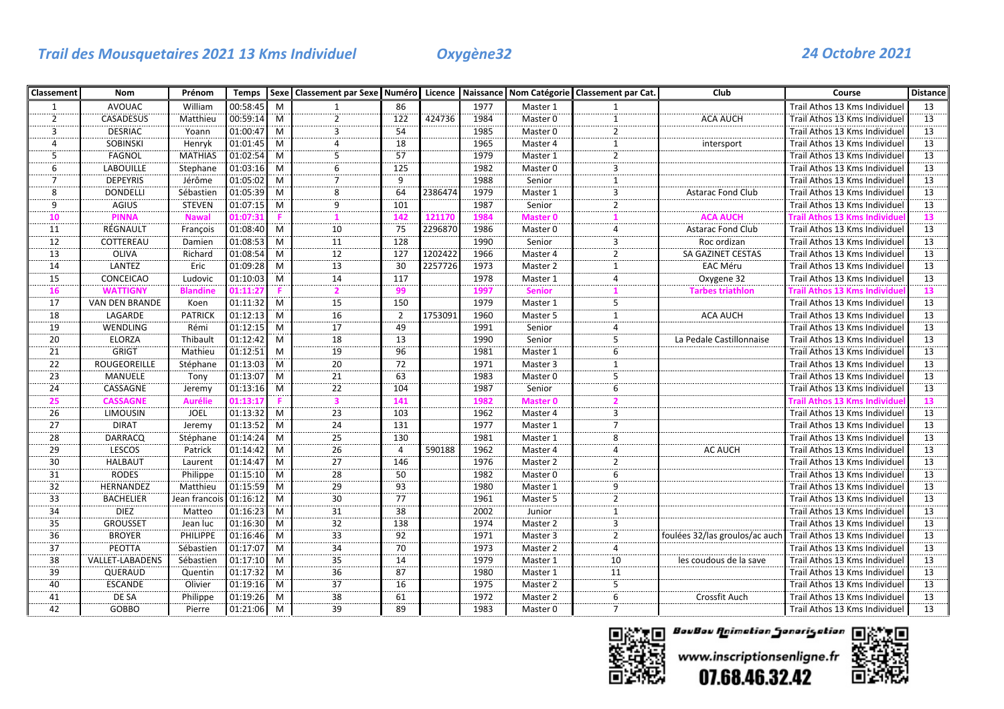# *Trail des Mousquetaires 2021 13 Kms Individuel Oxygène32 24 Octobre 2021*

| Classement           | Nom                    | Prénom          | <b>Temps</b> |   | Sexe   Classement par Sexe   Numéro   Licence   Naissance   Nom Catégorie   Classement par Cat. |                |         |      |                     |                    | Club                           | Course                              | <b>Distance</b> |
|----------------------|------------------------|-----------------|--------------|---|-------------------------------------------------------------------------------------------------|----------------|---------|------|---------------------|--------------------|--------------------------------|-------------------------------------|-----------------|
| $\mathbf{1}$         | <b>AVOUAC</b>          | William         | 00:58:45     | M |                                                                                                 | 86             |         | 1977 | Master 1            |                    |                                | Trail Athos 13 Kms Individuel       | 13              |
| $\overline{2}$       | <b>CASADESUS</b>       | Matthieu        | 00:59:14     | M | $\overline{2}$                                                                                  | 122            | 424736  | 1984 | Master 0            | $\mathbf{1}$       | <b>ACA AUCH</b>                | Trail Athos 13 Kms Individuel       | 13              |
| $\overline{3}$       | <b>DESRIAC</b>         | Yoann           | 01:00:47     | M | $\overline{3}$                                                                                  | 54             |         | 1985 | Master 0            | $\overline{2}$     |                                | Trail Athos 13 Kms Individuel       | $\overline{13}$ |
| $\overline{4}$       | <b>SOBINSKI</b>        | Henryk          | 01:01:45     | M | $\overline{4}$                                                                                  | 18             |         | 1965 | Master 4            | $\mathbf{1}$       | intersport                     | Trail Athos 13 Kms Individuel       | 13              |
| 5                    | FAGNOL                 | <b>MATHIAS</b>  | 01:02:54     | M | 5                                                                                               | 57             |         | 1979 | Master 1            | $\overline{2}$     |                                | Trail Athos 13 Kms Individuel       | 13              |
| 6                    | <b>LABOUILLE</b>       | Stephane        | 01:03:16     | M | 6                                                                                               | 125            |         | 1982 | Master <sub>0</sub> | $\overline{3}$     |                                | Trail Athos 13 Kms Individuel       | 13              |
| $\overline{7}$       | <b>DEPEYRIS</b>        | Jérôme          | 01:05:02     | M | $\overline{7}$                                                                                  | 9              |         | 1988 | Senior              | $\mathbf{1}$       |                                | Trail Athos 13 Kms Individuel       | 13              |
| 8                    | <b>DONDELLI</b>        | Sébastien       | 01:05:39     | M | 8                                                                                               | 64             | 2386474 | 1979 | Master 1            | 3                  | <b>Astarac Fond Club</b>       | Trail Athos 13 Kms Individuel       | 13              |
| ؘۄ                   | <b>AGIUS</b>           | <b>STEVEN</b>   | 01:07:15     | M | $\overline{9}$                                                                                  | 101            |         | 1987 | Senior              | $\overline{2}$     |                                | Trail Athos 13 Kms Individuel       | $\overline{13}$ |
| 10                   | <b>PINNA</b>           | <b>Nawal</b>    | 01:07:3:     |   |                                                                                                 | 142            | 121170  | 1984 | Master 0            |                    | <b>ACA AUCH</b>                | <b>Frail Athos 13 Kms Individue</b> | 13              |
| 11                   | RÉGNAULT               | François        | 01:08:40     | M | 10                                                                                              | 75             | 2296870 | 1986 | Master 0            | 4                  | <b>Astarac Fond Club</b>       | Trail Athos 13 Kms Individuel       | 13              |
| 12                   | COTTEREAU              | Damien          | 01:08:53     | M | 11                                                                                              | 128            |         | 1990 | Senior              | 3                  | Roc ordizan                    | Trail Athos 13 Kms Individuel       | 13              |
| $\overline{13}$      | OLIVA                  | Richard         | 01:08:54     | M | 12                                                                                              | 127            | 1202422 | 1966 | Master 4            | $\overline{a}$     | SA GAZINET CESTAS              | Trail Athos 13 Kms Individuel       | 13              |
| 14                   | LANTEZ                 | Eric            | 01:09:28     | M | 13                                                                                              | 30             | 2257726 | 1973 | Master 2            | $\mathbf{1}$       | EAC Méru                       | Trail Athos 13 Kms Individuel       | 13              |
| 15                   | CONCEICAO              | Ludovic         | 01:10:03     | M | 14                                                                                              | 117            |         | 1978 | Master 1            | $\overline{4}$     | Oxygene 32                     | Trail Athos 13 Kms Individue        | 13              |
| <b>16</b>            | <b>WATTIGNY</b>        | <b>Blandine</b> | 1:11:2       |   | 2                                                                                               | 99             |         | 1997 | <b>Senior</b>       |                    | <b>Tarbes triathlon</b>        | Frail Athos 13 Kms Individue        | 13              |
| 17                   | <b>VAN DEN BRANDE</b>  | Koen            | 01:11:32     | M | 15                                                                                              | 150            |         | 1979 | Master 1            | $\overline{5}$     |                                | Trail Athos 13 Kms Individuel       | 13              |
| 18                   | LAGARDE                | <b>PATRICK</b>  | 01:12:13     | M | 16                                                                                              | $\overline{2}$ | 1753091 | 1960 | Master 5            | $\mathbf{1}$       | <b>ACA AUCH</b>                | Trail Athos 13 Kms Individuel       | 13              |
| 19                   | WENDLING               | Rémi            | 01:12:15     | M | 17                                                                                              | 49             |         | 1991 | Senior              | 4                  |                                | Trail Athos 13 Kms Individuel       | 13              |
| $\overline{20}$      | <b>ELORZA</b>          | Thibault        | 01:12:42     | M | $\overline{18}$                                                                                 | 13             |         | 1990 | Senior              | 5                  | La Pedale Castillonnaise       | Trail Athos 13 Kms Individuel       | $\overline{13}$ |
| 21                   | <b>GRIGT</b>           | Mathieu         | 01:12:51     | M | 19                                                                                              | 96             |         | 1981 | Master 1            | 6                  |                                | Trail Athos 13 Kms Individuel       | 13              |
| 22                   | ROUGEOREILLE           | Stéphane        | 01:13:03     | M | 20                                                                                              | 72             |         | 1971 | Master 3            | $\mathbf{1}$       |                                | Trail Athos 13 Kms Individuel       | 13              |
| 23                   | MANUELE                | Tony            | 01:13:07     | M | 21                                                                                              | 63             |         | 1983 | Master 0            | 5                  |                                | Trail Athos 13 Kms Individuel       | 13              |
| $\overline{24}$      | CASSAGNE               | Jeremy          | 01:13:16     | M | $\overline{22}$                                                                                 | 104            |         | 1987 | Senior              | $\overline{6}$     |                                | Trail Athos 13 Kms Individuel       | $\overline{13}$ |
| 25                   | <b>CASSAGNE</b>        | Aurélie         | )1:13:1      |   | 3                                                                                               | 141            |         | 1982 | <b>Master 0</b>     | 2                  |                                | ʻrail Athos 13 Kms Individue        | 13              |
| 26                   | <b>LIMOUSIN</b>        | <b>JOEL</b>     | 01:13:32     | M | 23                                                                                              | 103            |         | 1962 | Master 4            | 3                  |                                | Trail Athos 13 Kms Individuel       | 13              |
| 27                   | <b>DIRAT</b>           | Jeremy          | 01:13:52     | M | 24                                                                                              | 131            |         | 1977 | Master 1            | $\overline{7}$     |                                | Trail Athos 13 Kms Individuel       | 13              |
| 28                   | DARRACQ                | Stéphane        | 01:14:24     | M | 25                                                                                              | 130            |         | 1981 | Master 1            | 8                  |                                | Trail Athos 13 Kms Individuel       | 13              |
| 29                   | LESCOS                 | Patrick         | 01:14:42     | M | 26                                                                                              | $\overline{4}$ | 590188  | 1962 | Master 4            | $\overline{a}$     | <b>AC AUCH</b>                 | Trail Athos 13 Kms Individuel       | 13              |
| $\overline{30}$      | <b>HALBAUT</b>         | Laurent         | 01:14:47     | M | 27                                                                                              | 146            |         | 1976 | Master 2            | $\overline{2}$     |                                | Trail Athos 13 Kms Individuel       | 13              |
| 31                   | <b>RODES</b>           | Philippe        | 01:15:10     | M | 28                                                                                              | 50             |         | 1982 | Master 0            | 6                  |                                | Trail Athos 13 Kms Individuel       | 13              |
| 32                   | HERNANDEZ              | Matthieu        | 01:15:59     | M | 29                                                                                              | 93             |         | 1980 | Master 1            | 9                  |                                | Trail Athos 13 Kms Individuel       | 13              |
| 33                   | <b>BACHELIER</b>       | Jean francois   | 01:16:12     | M | 30                                                                                              | 77             |         | 1961 | Master 5            | $\mathbf 2$        |                                | Trail Athos 13 Kms Individuel       | 13              |
| 34<br>$\frac{1}{35}$ | <b>DIEZ</b>            | Matteo          | 01:16:23     | M | $\frac{31}{32}$                                                                                 | 38             |         | 2002 | Junior              | 1<br>$\frac{1}{3}$ |                                | Trail Athos 13 Kms Individuel       | 13              |
|                      | <b>GROUSSET</b>        | Jean luc        | 01:16:30     | M |                                                                                                 | 138            |         | 1974 | Master 2            |                    |                                | Trail Athos 13 Kms Individuel       | 13              |
| 36                   | <b>BROYER</b>          | PHILIPPE        | 01:16:46     | M | 33                                                                                              | 92             |         | 1971 | Master 3            | $\overline{2}$     | foulées 32/las groulos/ac auch | Trail Athos 13 Kms Individuel       | 13              |
| 37                   | <b>PEOTTA</b>          | Sébastien       | 01:17:07     | M | 34                                                                                              | 70             |         | 1973 | Master 2            | $\overline{4}$     |                                | Trail Athos 13 Kms Individuel       | 13              |
| 38                   | <b>VALLET-LABADENS</b> | Sébastien       | 01:17:10     | M | 35                                                                                              | 14             |         | 1979 | Master 1            | 10                 | les coudous de la save         | Trail Athos 13 Kms Individuel       | 13              |
| 39                   | QUERAUD                | Quentin         | 01:17:32     | M | 36                                                                                              | 87             |         | 1980 | Master 1            | 11                 |                                | Trail Athos 13 Kms Individuel       | 13              |
| 40                   | <b>ESCANDE</b>         | Olivier         | 01:19:16     | M | 37                                                                                              | 16             |         | 1975 | Master 2            | 5                  |                                | Trail Athos 13 Kms Individuel       | 13              |
| 41                   | DE SA                  | Philippe        | 01:19:26     | M | $\overline{38}$                                                                                 | 61             |         | 1972 | Master 2            | $\dddot{6}$        | Crossfit Auch                  | Trail Athos 13 Kms Individuel       | $\overline{13}$ |
| 42                   | GOBBO                  | Pierre          | 01:21:06     | M | 39                                                                                              | 89             |         | 1983 | Master 0            | $\overline{7}$     |                                | Trail Athos 13 Kms Individuel       | 13              |



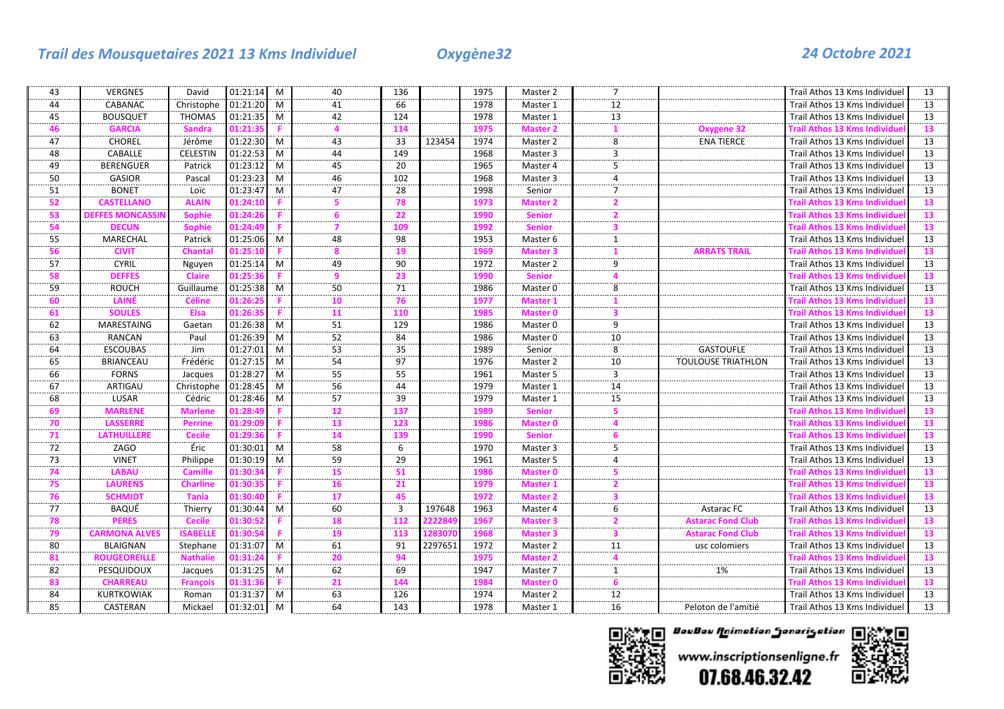# *Trail des Mousquetaires 2021 13 Kms Individuel Oxygène32 24 Octobre 2021*

| 43             | <b>VERGNES</b>          | David           | 01:21:14 M |   | 40               | 136 |         | 1975 | Master 2        | 7                       |                           | Trail Athos 13 Kms Individuel       | 13              |
|----------------|-------------------------|-----------------|------------|---|------------------|-----|---------|------|-----------------|-------------------------|---------------------------|-------------------------------------|-----------------|
| 44             | CABANAC                 | Christophe      | 01:21:20   | M | 41               | 66  |         | 1978 | Master 1        | 12                      |                           | Trail Athos 13 Kms Individuel       | 13              |
| 45             | <b>BOUSQUET</b>         | <b>THOMAS</b>   | 01:21:35   | M | 42               | 124 |         | 1978 | Master 1        | 13                      |                           | Trail Athos 13 Kms Individue        | 13              |
| 46             | <b>GARCIA</b>           | <b>Sandra</b>   | 01:21:3    |   |                  | 114 |         | 1975 | <b>Master 2</b> |                         | <b>Oxygene 32</b>         | <b>Frail Athos 13 Kms Individue</b> | 13              |
| 47             | <b>CHOREL</b>           | Jérôme          | 01:22:30   | M | 43               | 33  | 123454  | 1974 | Master 2        | 8                       | <b>ENA TIERCE</b>         | Trail Athos 13 Kms Individuel       | 13              |
| 48             | CABALLE                 | <b>CELESTIN</b> | 01:22:53   | M | 44               | 149 |         | 1968 | Master 3        | $\overline{3}$          |                           | Trail Athos 13 Kms Individuel       | 13              |
| 49             | <b>BERENGUER</b>        | Patrick         | 01:23:12   | M | 45               | 20  |         | 1965 | Master 4        | 5                       |                           | Trail Athos 13 Kms Individuel       | 13              |
| 50             | <b>GASIOR</b>           | Pascal          | 01:23:23   | M | 46               | 102 |         | 1968 | Master 3        | 4                       |                           | Trail Athos 13 Kms Individuel       | 13              |
| 51             | <b>BONET</b>            | Loïc            | 01:23:47   | M | 47               | 28  |         | 1998 | Senior          | 7                       |                           | Trail Athos 13 Kms Individuel       | 13              |
| 52             | <b>CASTELLANO</b>       | <b>ALAIN</b>    | 01:24:1(   |   |                  | 78  |         | 1973 | <b>Master 2</b> |                         |                           | <b>Frail Athos 13 Kms Individu</b>  | 13              |
| 53             | <b>DEFFES MONCASSII</b> | <b>Sophie</b>   | 01:24:2    |   | 6                | 22  |         | 1990 | <b>Senior</b>   | $\mathbf{z}$            |                           | Frail Athos 13 Kms Individue        | 13              |
| 54             | <b>DECUN</b>            | <b>Sophie</b>   | 01:24:49   |   | 7                | 109 |         | 1992 | <b>Senior</b>   | 3                       |                           | <b>Frail Athos 13 Kms Individue</b> | 13              |
| 55             | MARECHAL                | Patrick         | 01:25:06   | M | 48               | 98  |         | 1953 | Master 6        | 1                       |                           | Trail Athos 13 Kms Individuel       | 13              |
| 56             | <b>CIVIT</b>            | Chantal         | )1:25:1    |   |                  | 19  |         | 1969 | <b>Master 3</b> |                         |                           | Frail Athos 13 Kms Individu         | 13              |
| 57             | <b>CYRIL</b>            | Nguyen          | 01:25:14   | M | 49               | 90  |         | 1972 | Master 2        | 9                       |                           | Trail Athos 13 Kms Individuel       | 13              |
| 58             | <b>DEFFES</b>           | <b>Claire</b>   | 01:25:3    |   | 9                | 23  |         | 1990 | <b>Senior</b>   |                         |                           | <b>Frail Athos 13 Kms Individue</b> | 13              |
| 59             | <b>ROUCH</b>            | Guillaume       | 01:25:38   | M | 50               | 71  |         | 1986 | Master 0        | 8                       |                           | Trail Athos 13 Kms Individuel       | 13              |
| 60             | LAINÉ                   | <b>Céline</b>   | 1.262      |   | 10               | 76  |         | 1977 | <b>Master 1</b> |                         |                           | Frail Athos 13 Kms Individu         | 13              |
| 61             | <b>SOULES</b>           | Elsa            | 01:26:3    |   | 11               | 110 |         | 1985 | <b>Master 0</b> | 3                       |                           | <b>Frail Athos 13 Kms Individue</b> | $\overline{13}$ |
| 62             | MARESTAING              | Gaetan          | 01:26:38   | M | 51               | 129 |         | 1986 | Master 0        | 9                       |                           | Trail Athos 13 Kms Individuel       | 13              |
| 63             | <b>RANCAN</b>           | Paul            | 01:26:39   | M | $\overline{52}$  | 84  |         | 1986 | Master 0        | 10                      |                           | Trail Athos 13 Kms Individuel       | $\overline{13}$ |
| 64             | <b>ESCOUBAS</b>         | Jim             | 01:27:01   | M | 53               | 35  |         | 1989 | Senior          | 8                       | <b>GASTOUFLE</b>          | Trail Athos 13 Kms Individuel       | 13              |
| 65             | <b>BRIANCEAU</b>        | Frédéric        | 01:27:15   | M | 54               | 97  |         | 1976 | Master 2        | 10                      | <b>TOULOUSE TRIATHLON</b> | Trail Athos 13 Kms Individuel       | 13              |
| 66             | <b>FORNS</b>            | Jacques         | 01:28:27   | M | 55               | 55  |         | 1961 | Master 5        | 3                       |                           | Trail Athos 13 Kms Individuel       | 13              |
| 67             | ARTIGAU                 | Christophe      | 01:28:45   | M | $\overline{56}$  | 44  |         | 1979 | Master 1        | $\overline{14}$         |                           | Trail Athos 13 Kms Individuel       | $\overline{13}$ |
| 68             | LUSAR                   | Cédric          | 01:28:46   | M | 57               | 39  |         | 1979 | Master 1        | 15                      |                           | Trail Athos 13 Kms Individuel       | 13              |
| 69             | <b>MARLENE</b>          | <b>Marlene</b>  | 01:28:4    |   | 12               | 137 |         | 1989 | <b>Senior</b>   | -5                      |                           | <b>Frail Athos 13 Kms Individue</b> | 13              |
| 70             | <b>LASSERRE</b>         | Perrine         | )1:29:0    |   | 13               | 123 |         | 1986 | Master 0        |                         |                           | Frail Athos 13 Kms Individuง        | 13              |
| 71             | <b>LATHUILLERE</b>      | <b>Cecile</b>   | 1:29:3     |   | 14               | 139 |         | 1990 | <b>Senior</b>   |                         |                           | <b>Frail Athos 13 Kms Individue</b> | 13              |
| 72             | ZAGO                    | Éric            | 01:30:01   | M | 58               | 6   |         | 1970 | Master 3        | 5                       |                           | Trail Athos 13 Kms Individuel       | 13              |
| $\frac{73}{2}$ | <b>VINET</b>            | Philippe        | 01:30:19   | M | $\frac{59}{100}$ | 29  |         | 1961 | Master 5        | $\overline{4}$          |                           | Trail Athos 13 Kms Individuel       | 13              |
| 74             | <b>LABAU</b>            | <b>Camille</b>  | )1:30:3    |   | 15               | -51 |         | 1986 | Master 0        |                         |                           | Frail Athos 13 Kms Individu         | 13              |
| 75             | LAURENS                 | <b>Charline</b> | 01:30:3    |   | 16               | 21  |         | 1979 | <b>Master 1</b> |                         |                           | Frail Athos 13 Kms Individue        | 13              |
| 76             | <b>SCHMIDT</b>          | <b>Tania</b>    | 01:30:40   |   | 17               | 45  |         | 1972 | <b>Master 2</b> | $\overline{\mathbf{3}}$ |                           | <b>Frail Athos 13 Kms Individue</b> | 13              |
| 77<br>.        | BAQUÉ                   | Thierry         | 01:30:44   | M | 60               | 3   | 197648  | 1963 | Master 4        | 6                       | Astarac FC                | Trail Athos 13 Kms Individuel       | 13              |
| 78             | <b>PERES</b>            | <b>Cecile</b>   | 01:30:5    |   | 18               | 112 |         | 1967 | <b>Master 3</b> |                         | Astarac Fond Club         | Frail Athos 13 Kms Individue        | 13              |
| 79             | <b>CARMONA ALVES</b>    | <b>ISABELLE</b> | 01:30:5    |   | 19               | 113 | 28307   | 1968 | <b>Master 3</b> |                         | Astarac Fond Club         | Frail Athos 13 Kms Individue        | 13              |
| 80             | <b>BLAIGNAN</b>         | Stephane        | 01:31:07   | M | 61               | 91  | 2297651 | 1972 | Master 2        | 11                      | usc colomiers             | Trail Athos 13 Kms Individuel       | 13              |
| 81             | <b>ROUGEOREILLE</b>     | <b>Nathalie</b> | 01:31:2    |   | 20               | 94  |         | 1975 | <b>Master 2</b> |                         |                           | Frail Athos 13 Kms Individue        | 13              |
| 82             | PESQUIDOUX              | Jacques         | 01:31:25   | M | 62               | 69  |         | 1947 | Master 7        | 1                       | 1%                        | Trail Athos 13 Kms Individuel       | 13              |
| 83             | <b>CHARREAU</b>         | <b>François</b> | 01:31:3    |   | 21               | 144 |         | 1984 | <b>Master 0</b> | 6                       |                           | Frail Athos 13 Kms Individue        | 13              |
| 84             | <b>KURTKOWIAK</b>       | Roman           | 01:31:37   | M | 63               | 126 |         | 1974 | Master 2        | $\overline{12}$         |                           | Trail Athos 13 Kms Individuel       | $\overline{13}$ |
| 85             | CASTERAN                | Mickael         | 01:32:01   | M | 64               | 143 |         | 1978 | Master 1        | 16                      | Peloton de l'amitié       | Trail Athos 13 Kms Individuel       | 13              |





www.inscriptionsenligne.fr 07.68.46.32.42